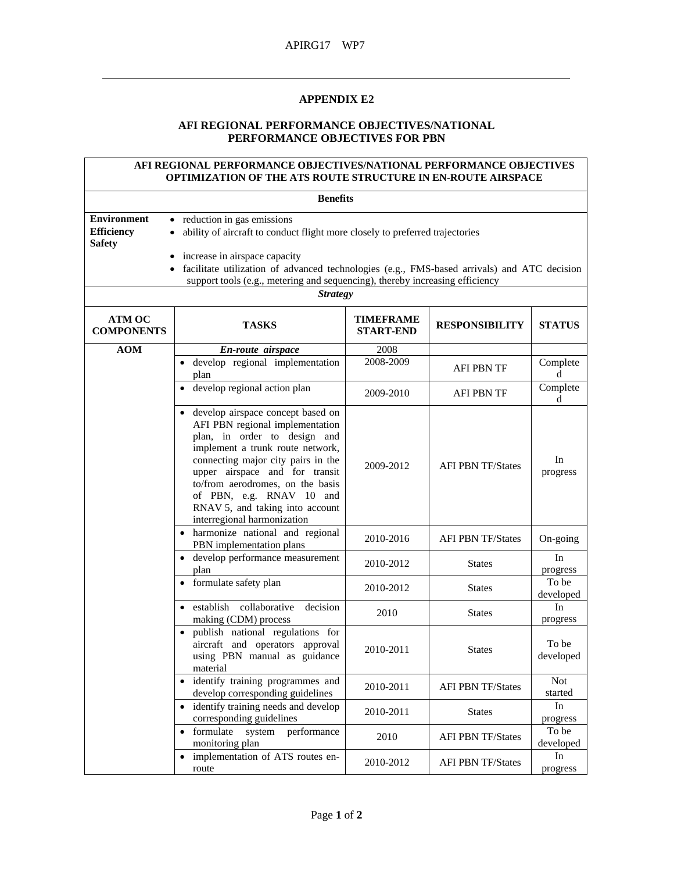## **APPENDIX E2**

## **AFI REGIONAL PERFORMANCE OBJECTIVES/NATIONAL PERFORMANCE OBJECTIVES FOR PBN**

## **AFI REGIONAL PERFORMANCE OBJECTIVES/NATIONAL PERFORMANCE OBJECTIVES OPTIMIZATION OF THE ATS ROUTE STRUCTURE IN EN-ROUTE AIRSPACE**

| <b>Benefits</b>                                                                                                                                                                                                                                                                                          |                                                                                                                                                                                                                                                                                                                                                                 |                                      |                          |                       |  |
|----------------------------------------------------------------------------------------------------------------------------------------------------------------------------------------------------------------------------------------------------------------------------------------------------------|-----------------------------------------------------------------------------------------------------------------------------------------------------------------------------------------------------------------------------------------------------------------------------------------------------------------------------------------------------------------|--------------------------------------|--------------------------|-----------------------|--|
| <b>Environment</b><br>• reduction in gas emissions<br><b>Efficiency</b><br>ability of aircraft to conduct flight more closely to preferred trajectories<br><b>Safety</b><br>increase in airspace capacity<br>facilitate utilization of advanced technologies (e.g., FMS-based arrivals) and ATC decision |                                                                                                                                                                                                                                                                                                                                                                 |                                      |                          |                       |  |
|                                                                                                                                                                                                                                                                                                          | support tools (e.g., metering and sequencing), thereby increasing efficiency<br><b>Strategy</b>                                                                                                                                                                                                                                                                 |                                      |                          |                       |  |
| <b>ATM OC</b><br><b>COMPONENTS</b>                                                                                                                                                                                                                                                                       | <b>TASKS</b>                                                                                                                                                                                                                                                                                                                                                    | <b>TIMEFRAME</b><br><b>START-END</b> | <b>RESPONSIBILITY</b>    | <b>STATUS</b>         |  |
| <b>AOM</b>                                                                                                                                                                                                                                                                                               | En-route airspace                                                                                                                                                                                                                                                                                                                                               | 2008                                 |                          |                       |  |
|                                                                                                                                                                                                                                                                                                          | develop regional implementation<br>plan                                                                                                                                                                                                                                                                                                                         | 2008-2009                            | AFI PBN TF               | Complete<br>d         |  |
|                                                                                                                                                                                                                                                                                                          | develop regional action plan                                                                                                                                                                                                                                                                                                                                    | 2009-2010                            | AFI PBN TF               | Complete<br>d         |  |
|                                                                                                                                                                                                                                                                                                          | develop airspace concept based on<br>$\bullet$<br>AFI PBN regional implementation<br>plan, in order to design and<br>implement a trunk route network,<br>connecting major city pairs in the<br>upper airspace and for transit<br>to/from aerodromes, on the basis<br>of PBN, e.g. RNAV 10 and<br>RNAV 5, and taking into account<br>interregional harmonization | 2009-2012                            | <b>AFI PBN TF/States</b> | In<br>progress        |  |
|                                                                                                                                                                                                                                                                                                          | · harmonize national and regional<br>PBN implementation plans                                                                                                                                                                                                                                                                                                   | 2010-2016                            | <b>AFI PBN TF/States</b> | On-going              |  |
|                                                                                                                                                                                                                                                                                                          | develop performance measurement<br>plan                                                                                                                                                                                                                                                                                                                         | 2010-2012                            | <b>States</b>            | In<br>progress        |  |
|                                                                                                                                                                                                                                                                                                          | formulate safety plan                                                                                                                                                                                                                                                                                                                                           | 2010-2012                            | <b>States</b>            | To be<br>developed    |  |
|                                                                                                                                                                                                                                                                                                          | collaborative<br>establish<br>decision<br>making (CDM) process                                                                                                                                                                                                                                                                                                  | 2010                                 | <b>States</b>            | In<br>progress        |  |
|                                                                                                                                                                                                                                                                                                          | publish national regulations for<br>$\bullet$<br>aircraft and operators approval<br>using PBN manual as guidance<br>material                                                                                                                                                                                                                                    | 2010-2011                            | <b>States</b>            | To be<br>developed    |  |
|                                                                                                                                                                                                                                                                                                          | identify training programmes and<br>develop corresponding guidelines                                                                                                                                                                                                                                                                                            | 2010-2011                            | <b>AFI PBN TF/States</b> | <b>Not</b><br>started |  |
|                                                                                                                                                                                                                                                                                                          | • identify training needs and develop<br>corresponding guidelines                                                                                                                                                                                                                                                                                               | 2010-2011                            | <b>States</b>            | In<br>progress        |  |
|                                                                                                                                                                                                                                                                                                          | formulate<br>system<br>performance<br>$\bullet$<br>monitoring plan                                                                                                                                                                                                                                                                                              | 2010                                 | <b>AFI PBN TF/States</b> | To be<br>developed    |  |
|                                                                                                                                                                                                                                                                                                          | implementation of ATS routes en-<br>$\bullet$<br>route                                                                                                                                                                                                                                                                                                          | 2010-2012                            | <b>AFI PBN TF/States</b> | In<br>progress        |  |